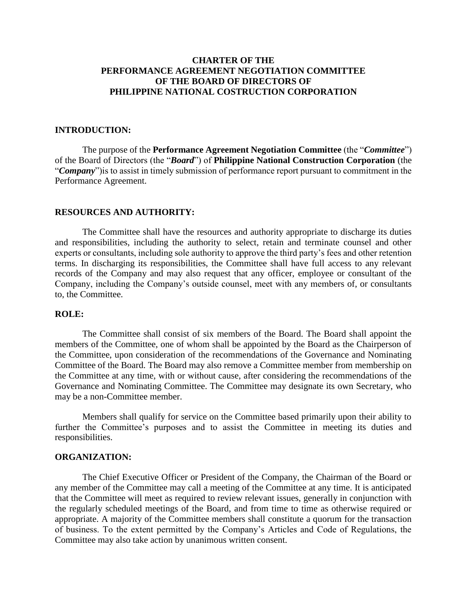# **CHARTER OF THE PERFORMANCE AGREEMENT NEGOTIATION COMMITTEE OF THE BOARD OF DIRECTORS OF PHILIPPINE NATIONAL COSTRUCTION CORPORATION**

### **INTRODUCTION:**

The purpose of the **Performance Agreement Negotiation Committee** (the "*Committee*") of the Board of Directors (the "*Board*") of **Philippine National Construction Corporation** (the "*Company*")is to assist in timely submission of performance report pursuant to commitment in the Performance Agreement.

#### **RESOURCES AND AUTHORITY:**

The Committee shall have the resources and authority appropriate to discharge its duties and responsibilities, including the authority to select, retain and terminate counsel and other experts or consultants, including sole authority to approve the third party's fees and other retention terms. In discharging its responsibilities, the Committee shall have full access to any relevant records of the Company and may also request that any officer, employee or consultant of the Company, including the Company's outside counsel, meet with any members of, or consultants to, the Committee.

#### **ROLE:**

The Committee shall consist of six members of the Board. The Board shall appoint the members of the Committee, one of whom shall be appointed by the Board as the Chairperson of the Committee, upon consideration of the recommendations of the Governance and Nominating Committee of the Board. The Board may also remove a Committee member from membership on the Committee at any time, with or without cause, after considering the recommendations of the Governance and Nominating Committee. The Committee may designate its own Secretary, who may be a non-Committee member.

Members shall qualify for service on the Committee based primarily upon their ability to further the Committee's purposes and to assist the Committee in meeting its duties and responsibilities.

#### **ORGANIZATION:**

The Chief Executive Officer or President of the Company, the Chairman of the Board or any member of the Committee may call a meeting of the Committee at any time. It is anticipated that the Committee will meet as required to review relevant issues, generally in conjunction with the regularly scheduled meetings of the Board, and from time to time as otherwise required or appropriate. A majority of the Committee members shall constitute a quorum for the transaction of business. To the extent permitted by the Company's Articles and Code of Regulations, the Committee may also take action by unanimous written consent.